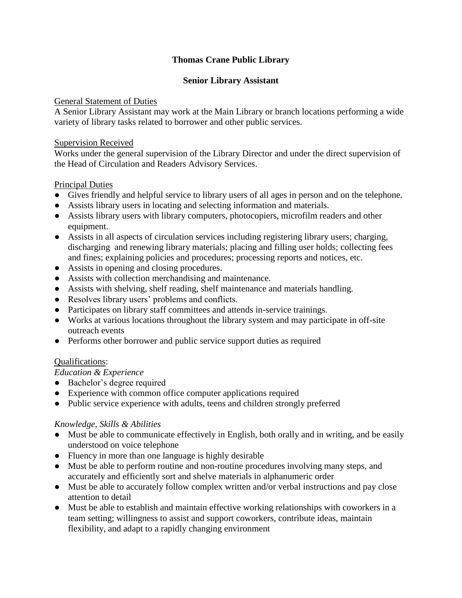# **Thomas Crane Public Library**

### **Senior Library Assistant**

#### General Statement of Duties

A Senior Library Assistant may work at the Main Library or branch locations performing a wide variety of library tasks related to borrower and other public services.

#### Supervision Received

Works under the general supervision of the Library Director and under the direct supervision of the Head of Circulation and Readers Advisory Services.

## Principal Duties

- Gives friendly and helpful service to library users of all ages in person and on the telephone.
- Assists library users in locating and selecting information and materials.
- Assists library users with library computers, photocopiers, microfilm readers and other equipment.
- Assists in all aspects of circulation services including registering library users; charging, discharging and renewing library materials; placing and filling user holds; collecting fees and fines; explaining policies and procedures; processing reports and notices, etc.
- Assists in opening and closing procedures.
- Assists with collection merchandising and maintenance.
- Assists with shelving, shelf reading, shelf maintenance and materials handling.
- Resolves library users' problems and conflicts.
- Participates on library staff committees and attends in-service trainings.
- Works at various locations throughout the library system and may participate in off-site outreach events
- Performs other borrower and public service support duties as required

## Qualifications:

#### *Education & Experience*

- Bachelor's degree required
- Experience with common office computer applications required
- Public service experience with adults, teens and children strongly preferred

## *Knowledge, Skills & Abilities*

- Must be able to communicate effectively in English, both orally and in writing, and be easily understood on voice telephone
- Fluency in more than one language is highly desirable
- Must be able to perform routine and non-routine procedures involving many steps, and accurately and efficiently sort and shelve materials in alphanumeric order
- Must be able to accurately follow complex written and/or verbal instructions and pay close attention to detail
- Must be able to establish and maintain effective working relationships with coworkers in a team setting; willingness to assist and support coworkers, contribute ideas, maintain flexibility, and adapt to a rapidly changing environment